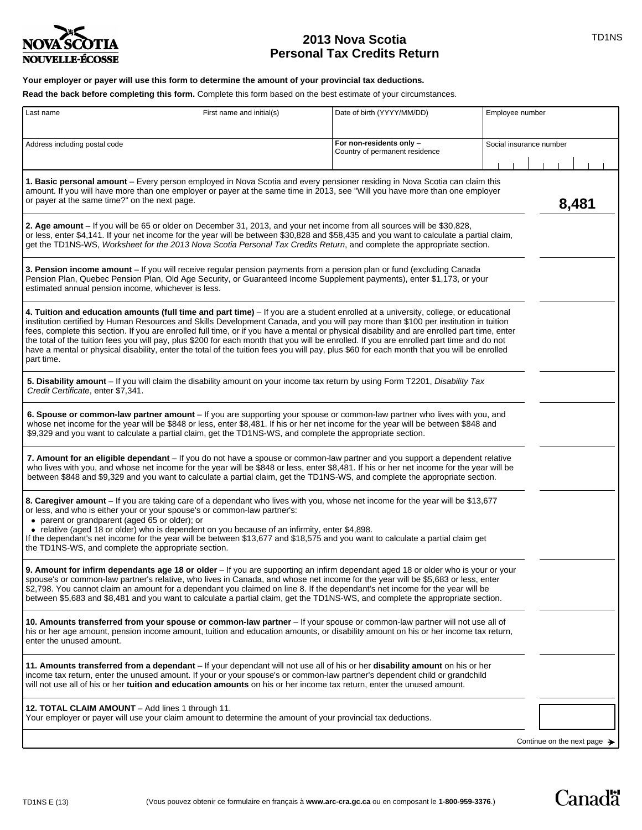

# **2013 Nova Scotia TID1NS Personal Tax Credits Return**

# **Your employer or payer will use this form to determine the amount of your provincial tax deductions.**

**Read the back before completing this form.** Complete this form based on the best estimate of your circumstances.

| Last name                                                                                                                                                                                                                                                                                                                                                                                                                                                                                                                                                                                                                                                                                                                           | First name and initial(s) | Date of birth (YYYY/MM/DD)                                 | Employee number         |
|-------------------------------------------------------------------------------------------------------------------------------------------------------------------------------------------------------------------------------------------------------------------------------------------------------------------------------------------------------------------------------------------------------------------------------------------------------------------------------------------------------------------------------------------------------------------------------------------------------------------------------------------------------------------------------------------------------------------------------------|---------------------------|------------------------------------------------------------|-------------------------|
| Address including postal code                                                                                                                                                                                                                                                                                                                                                                                                                                                                                                                                                                                                                                                                                                       |                           | For non-residents only -<br>Country of permanent residence | Social insurance number |
| 1. Basic personal amount – Every person employed in Nova Scotia and every pensioner residing in Nova Scotia can claim this<br>amount. If you will have more than one employer or payer at the same time in 2013, see "Will you have more than one employer<br>or payer at the same time?" on the next page.                                                                                                                                                                                                                                                                                                                                                                                                                         | 8,481                     |                                                            |                         |
| 2. Age amount - If you will be 65 or older on December 31, 2013, and your net income from all sources will be \$30,828,<br>or less, enter \$4,141. If your net income for the year will be between \$30,828 and \$58,435 and you want to calculate a partial claim,<br>get the TD1NS-WS, Worksheet for the 2013 Nova Scotia Personal Tax Credits Return, and complete the appropriate section.                                                                                                                                                                                                                                                                                                                                      |                           |                                                            |                         |
| 3. Pension income amount – If you will receive regular pension payments from a pension plan or fund (excluding Canada<br>Pension Plan, Quebec Pension Plan, Old Age Security, or Guaranteed Income Supplement payments), enter \$1,173, or your<br>estimated annual pension income, whichever is less.                                                                                                                                                                                                                                                                                                                                                                                                                              |                           |                                                            |                         |
| 4. Tuition and education amounts (full time and part time) - If you are a student enrolled at a university, college, or educational<br>institution certified by Human Resources and Skills Development Canada, and you will pay more than \$100 per institution in tuition<br>fees, complete this section. If you are enrolled full time, or if you have a mental or physical disability and are enrolled part time, enter<br>the total of the tuition fees you will pay, plus \$200 for each month that you will be enrolled. If you are enrolled part time and do not<br>have a mental or physical disability, enter the total of the tuition fees you will pay, plus \$60 for each month that you will be enrolled<br>part time. |                           |                                                            |                         |
| 5. Disability amount – If you will claim the disability amount on your income tax return by using Form T2201, Disability Tax<br>Credit Certificate, enter \$7,341.                                                                                                                                                                                                                                                                                                                                                                                                                                                                                                                                                                  |                           |                                                            |                         |
| 6. Spouse or common-law partner amount - If you are supporting your spouse or common-law partner who lives with you, and<br>whose net income for the year will be \$848 or less, enter \$8,481. If his or her net income for the year will be between \$848 and<br>\$9,329 and you want to calculate a partial claim, get the TD1NS-WS, and complete the appropriate section.                                                                                                                                                                                                                                                                                                                                                       |                           |                                                            |                         |
| 7. Amount for an eligible dependant – If you do not have a spouse or common-law partner and you support a dependent relative<br>who lives with you, and whose net income for the year will be \$848 or less, enter \$8,481. If his or her net income for the year will be<br>between \$848 and \$9,329 and you want to calculate a partial claim, get the TD1NS-WS, and complete the appropriate section.                                                                                                                                                                                                                                                                                                                           |                           |                                                            |                         |
| 8. Caregiver amount - If you are taking care of a dependant who lives with you, whose net income for the year will be \$13,677<br>or less, and who is either your or your spouse's or common-law partner's:<br>• parent or grandparent (aged 65 or older); or<br>• relative (aged 18 or older) who is dependent on you because of an infirmity, enter \$4,898.<br>If the dependant's net income for the year will be between \$13,677 and \$18,575 and you want to calculate a partial claim get<br>the TD1NS-WS, and complete the appropriate section.                                                                                                                                                                             |                           |                                                            |                         |
| 9. Amount for infirm dependants age 18 or older - If you are supporting an infirm dependant aged 18 or older who is your or your<br>spouse's or common-law partner's relative, who lives in Canada, and whose net income for the year will be \$5,683 or less, enter<br>\$2,798. You cannot claim an amount for a dependant you claimed on line 8. If the dependant's net income for the year will be<br>between \$5,683 and \$8,481 and you want to calculate a partial claim, get the TD1NS-WS, and complete the appropriate section.                                                                                                                                                                                             |                           |                                                            |                         |
| 10. Amounts transferred from your spouse or common-law partner - If your spouse or common-law partner will not use all of<br>his or her age amount, pension income amount, tuition and education amounts, or disability amount on his or her income tax return,<br>enter the unused amount.                                                                                                                                                                                                                                                                                                                                                                                                                                         |                           |                                                            |                         |
| 11. Amounts transferred from a dependant – If your dependant will not use all of his or her disability amount on his or her<br>income tax return, enter the unused amount. If your or your spouse's or common-law partner's dependent child or grandchild<br>will not use all of his or her tuition and education amounts on his or her income tax return, enter the unused amount.                                                                                                                                                                                                                                                                                                                                                 |                           |                                                            |                         |
| 12. TOTAL CLAIM AMOUNT - Add lines 1 through 11.<br>Your employer or payer will use your claim amount to determine the amount of your provincial tax deductions.                                                                                                                                                                                                                                                                                                                                                                                                                                                                                                                                                                    |                           |                                                            |                         |
|                                                                                                                                                                                                                                                                                                                                                                                                                                                                                                                                                                                                                                                                                                                                     |                           |                                                            |                         |

Continue on the next page  $\rightarrow$ 

Canadä